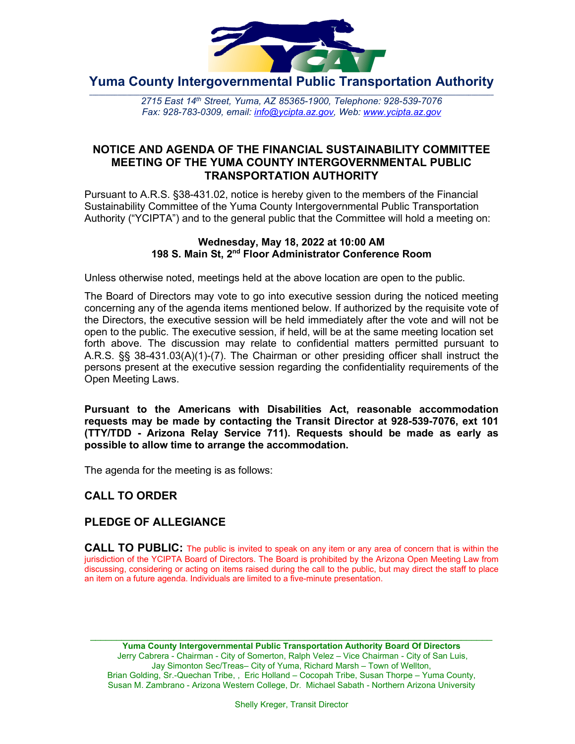

**Yuma County Intergovernmental Public Transportation Authority**

2715 East 14th Street, Yuma, AZ 85365-1900, Telephone: 928-539-7076 *Fax: 928-783-0309, email: [info@ycipta.az.gov,](mailto:info@ycipta.az.gov) Web: [www.ycipta.az.gov](http://www.ycipta.az.gov/)*

# **NOTICE AND AGENDA OF THE FINANCIAL SUSTAINABILITY COMMITTEE MEETING OF THE YUMA COUNTY INTERGOVERNMENTAL PUBLIC TRANSPORTATION AUTHORITY**

Pursuant to A.R.S. §38-431.02, notice is hereby given to the members of the Financial Sustainability Committee of the Yuma County Intergovernmental Public Transportation Authority ("YCIPTA") and to the general public that the Committee will hold a meeting on:

#### **Wednesday, May 18, 2022 at 10:00 AM 198 S. Main St, 2nd Floor Administrator Conference Room**

Unless otherwise noted, meetings held at the above location are open to the public.

The Board of Directors may vote to go into executive session during the noticed meeting concerning any of the agenda items mentioned below. If authorized by the requisite vote of the Directors, the executive session will be held immediately after the vote and will not be open to the public. The executive session, if held, will be at the same meeting location set forth above. The discussion may relate to confidential matters permitted pursuant to A.R.S. §§ 38-431.03(A)(1)-(7). The Chairman or other presiding officer shall instruct the persons present at the executive session regarding the confidentiality requirements of the Open Meeting Laws.

**Pursuant to the Americans with Disabilities Act, reasonable accommodation requests may be made by contacting the Transit Director at 928-539-7076, ext 101 (TTY/TDD - Arizona Relay Service 711). Requests should be made as early as possible to allow time to arrange the accommodation.**

The agenda for the meeting is as follows:

# **CALL TO ORDER**

# **PLEDGE OF ALLEGIANCE**

**CALL TO PUBLIC:** The public is invited to speak on any item or any area of concern that is within the jurisdiction of the YCIPTA Board of Directors. The Board is prohibited by the Arizona Open Meeting Law from discussing, considering or acting on items raised during the call to the public, but may direct the staff to place an item on a future agenda. Individuals are limited to a five-minute presentation.

\_\_\_\_\_\_\_\_\_\_\_\_\_\_\_\_\_\_\_\_\_\_\_\_\_\_\_\_\_\_\_\_\_\_\_\_\_\_\_\_\_\_\_\_\_\_\_\_\_\_\_\_\_\_\_\_\_\_\_\_\_\_\_\_\_\_\_\_\_\_\_\_\_\_\_\_\_ **Yuma County Intergovernmental Public Transportation Authority Board Of Directors** Jerry Cabrera - Chairman - City of Somerton, Ralph Velez – Vice Chairman - City of San Luis, Jay Simonton Sec/Treas– City of Yuma, Richard Marsh – Town of Wellton, Brian Golding, Sr.-Quechan Tribe, , Eric Holland – Cocopah Tribe, Susan Thorpe – Yuma County, Susan M. Zambrano - Arizona Western College, Dr. Michael Sabath - Northern Arizona University